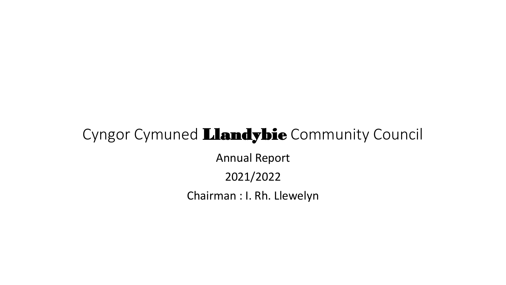#### Cyngor Cymuned Llandybie Community Council

Annual Report

2021/2022

Chairman : I. Rh. Llewelyn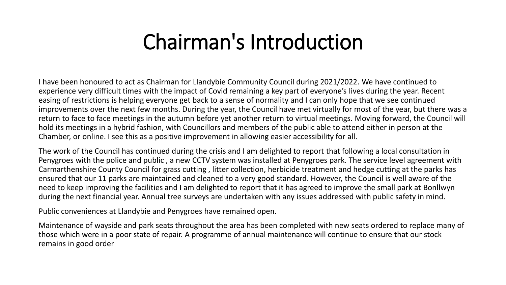### Chairman's Introduction

I have been honoured to act as Chairman for Llandybie Community Council during 2021/2022. We have continued to experience very difficult times with the impact of Covid remaining a key part of everyone's lives during the year. Recent easing of restrictions is helping everyone get back to a sense of normality and I can only hope that we see continued improvements over the next few months. During the year, the Council have met virtually for most of the year, but there was a return to face to face meetings in the autumn before yet another return to virtual meetings. Moving forward, the Council will hold its meetings in a hybrid fashion, with Councillors and members of the public able to attend either in person at the Chamber, or online. I see this as a positive improvement in allowing easier accessibility for all.

The work of the Council has continued during the crisis and I am delighted to report that following a local consultation in Penygroes with the police and public , a new CCTV system was installed at Penygroes park. The service level agreement with Carmarthenshire County Council for grass cutting , litter collection, herbicide treatment and hedge cutting at the parks has ensured that our 11 parks are maintained and cleaned to a very good standard. However, the Council is well aware of the need to keep improving the facilities and I am delighted to report that it has agreed to improve the small park at Bonllwyn during the next financial year. Annual tree surveys are undertaken with any issues addressed with public safety in mind.

Public conveniences at Llandybie and Penygroes have remained open.

Maintenance of wayside and park seats throughout the area has been completed with new seats ordered to replace many of those which were in a poor state of repair. A programme of annual maintenance will continue to ensure that our stock remains in good order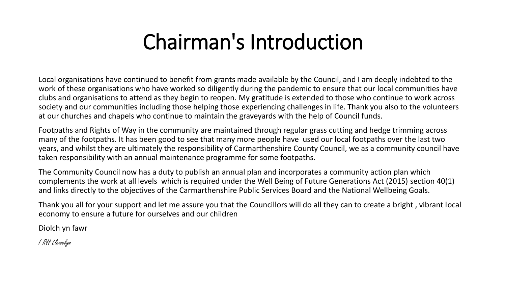### Chairman's Introduction

Local organisations have continued to benefit from grants made available by the Council, and I am deeply indebted to the work of these organisations who have worked so diligently during the pandemic to ensure that our local communities have clubs and organisations to attend as they begin to reopen. My gratitude is extended to those who continue to work across society and our communities including those helping those experiencing challenges in life. Thank you also to the volunteers at our churches and chapels who continue to maintain the graveyards with the help of Council funds.

Footpaths and Rights of Way in the community are maintained through regular grass cutting and hedge trimming across many of the footpaths. It has been good to see that many more people have used our local footpaths over the last two years, and whilst they are ultimately the responsibility of Carmarthenshire County Council, we as a community council have taken responsibility with an annual maintenance programme for some footpaths.

The Community Council now has a duty to publish an annual plan and incorporates a community action plan which complements the work at all levels which is required under the Well Being of Future Generations Act (2015) section 40(1) and links directly to the objectives of the Carmarthenshire Public Services Board and the National Wellbeing Goals.

Thank you all for your support and let me assure you that the Councillors will do all they can to create a bright , vibrant local economy to ensure a future for ourselves and our children

Diolch yn fawr

I RH Llewelyn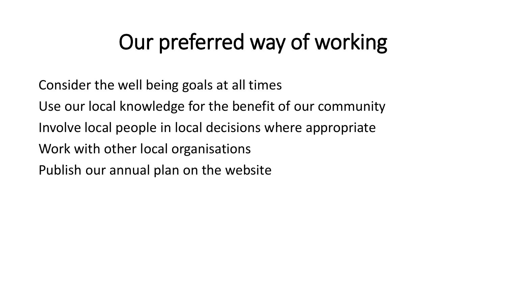### Our preferred way of working

Consider the well being goals at all times

Use our local knowledge for the benefit of our community

Involve local people in local decisions where appropriate

Work with other local organisations

Publish our annual plan on the website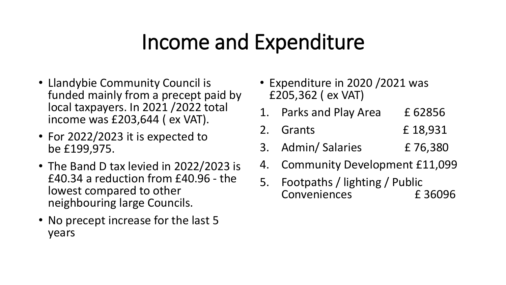### Income and Expenditure

- Llandybie Community Council is funded mainly from a precept paid by local taxpayers. In 2021 /2022 total income was £203,644 ( ex VAT).
- For 2022/2023 it is expected to be £199,975.
- The Band D tax levied in 2022/2023 is £40.34 a reduction from £40.96 - the lowest compared to other neighbouring large Councils.
- No precept increase for the last 5 years
- Expenditure in 2020 /2021 was £205,362 ( ex VAT)
- 1. Parks and Play Area E 62856
- 2. Grants £ 18,931
- 3. Admin/ Salaries £ 76,380
- 4. Community Development £11,099
- 5. Footpaths / lighting / Public Conveniences £ 36096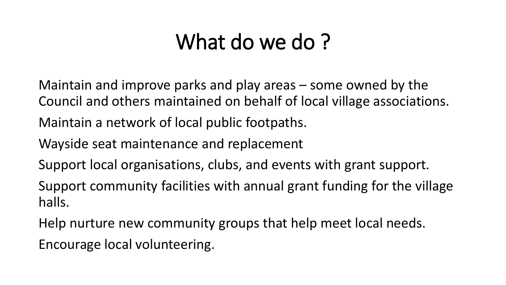### What do we do?

Maintain and improve parks and play areas – some owned by the Council and others maintained on behalf of local village associations.

Maintain a network of local public footpaths.

Wayside seat maintenance and replacement

Support local organisations, clubs, and events with grant support.

Support community facilities with annual grant funding for the village halls.

Help nurture new community groups that help meet local needs.

Encourage local volunteering.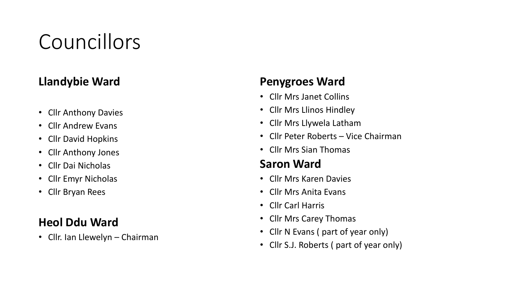### Councillors

#### **Llandybie Ward**

- Cllr Anthony Davies
- Cllr Andrew Evans
- Cllr David Hopkins
- Cllr Anthony Jones
- Cllr Dai Nicholas
- Cllr Emyr Nicholas
- Cllr Bryan Rees

#### **Heol Ddu Ward**

• Cllr. Ian Llewelyn – Chairman

#### **Penygroes Ward**

- Cllr Mrs Janet Collins
- Cllr Mrs Llinos Hindley
- Cllr Mrs Llywela Latham
- Cllr Peter Roberts Vice Chairman
- Cllr Mrs Sian Thomas

#### **Saron Ward**

- Cllr Mrs Karen Davies
- Cllr Mrs Anita Evans
- Cllr Carl Harris
- Cllr Mrs Carey Thomas
- Cllr N Evans ( part of year only)
- Cllr S.J. Roberts ( part of year only)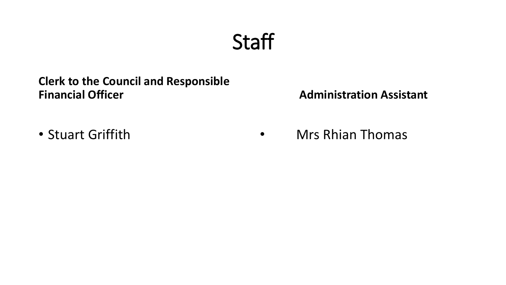### **Staff**

#### **Clerk to the Council and Responsible Financial Officer**

#### **Administration Assistant**

• Stuart Griffith

• Mrs Rhian Thomas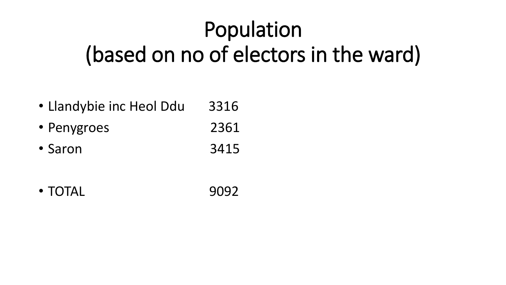# Population (based on no of electors in the ward)

- Llandybie inc Heol Ddu 3316
- Penygroes 2361
- Saron 3415
- TOTAL 9092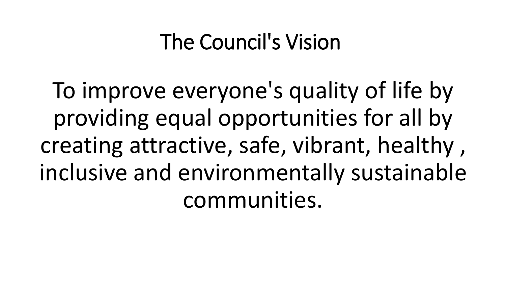### The Council's Vision

To improve everyone's quality of life by providing equal opportunities for all by creating attractive, safe, vibrant, healthy , inclusive and environmentally sustainable communities.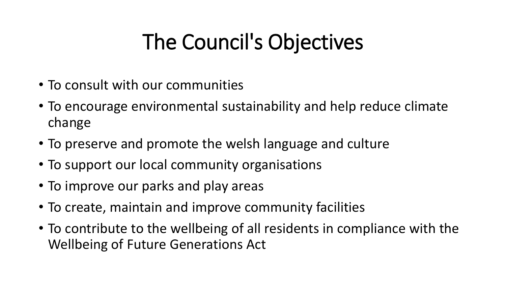### The Council's Objectives

- To consult with our communities
- To encourage environmental sustainability and help reduce climate change
- To preserve and promote the welsh language and culture
- To support our local community organisations
- To improve our parks and play areas
- To create, maintain and improve community facilities
- To contribute to the wellbeing of all residents in compliance with the Wellbeing of Future Generations Act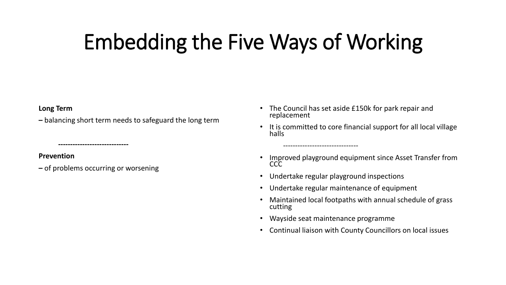### Embedding the Five Ways of Working

#### **Long Term**

**–** balancing short term needs to safeguard the long term

**Prevention** 

**–** of problems occurring or worsening

**-----------------------------**

- The Council has set aside £150k for park repair and replacement
- It is committed to core financial support for all local village halls
- Improved playground equipment since Asset Transfer from **CCC**
- Undertake regular playground inspections

-------------------------------

- Undertake regular maintenance of equipment
- Maintained local footpaths with annual schedule of grass cutting
- Wayside seat maintenance programme
- Continual liaison with County Councillors on local issues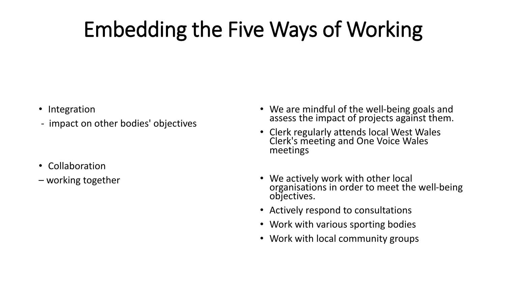## Embedding the Five Ways of Working

- Integration
- impact on other bodies' objectives

- Collaboration
- working together
- We are mindful of the well-being goals and assess the impact of projects against them.
- Clerk regularly attends local West Wales Clerk's meeting and One Voice Wales meetings
- We actively work with other local organisations in order to meet the well-being objectives.
- Actively respond to consultations
- Work with various sporting bodies
- Work with local community groups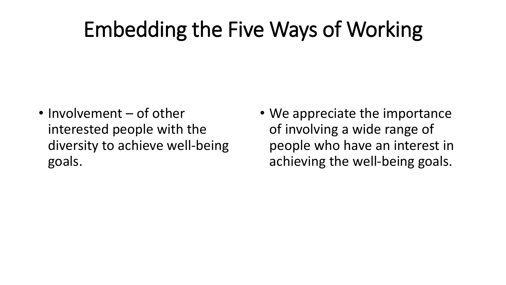### Embedding the Five Ways of Working

- Involvement of other interested people with the diversity to achieve well-being goals.
- We appreciate the importance of involving a wide range of people who have an interest in achieving the well-being goals.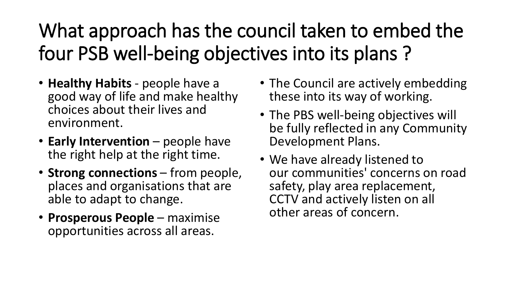### What approach has the council taken to embed the four PSB well-being objectives into its plans ?

- **Healthy Habits** people have a good way of life and make healthy choices about their lives and environment.
- **Early Intervention** people have the right help at the right time.
- **Strong connections** from people, places and organisations that are able to adapt to change.
- **Prosperous People** maximise opportunities across all areas.
- The Council are actively embedding these into its way of working.
- The PBS well-being objectives will be fully reflected in any Community Development Plans.
- We have already listened to our communities' concerns on road safety, play area replacement, CCTV and actively listen on all other areas of concern.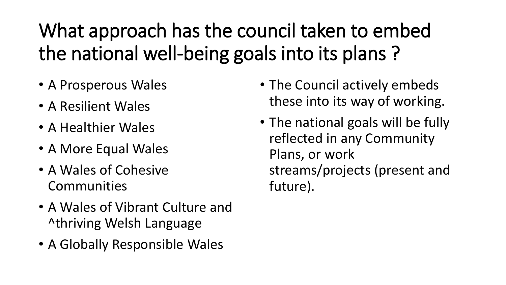What approach has the council taken to embed the national well-being goals into its plans ?

- A Prosperous Wales
- A Resilient Wales
- A Healthier Wales
- A More Equal Wales
- A Wales of Cohesive Communities
- A Wales of Vibrant Culture and ^thriving Welsh Language
- A Globally Responsible Wales
- The Council actively embeds these into its way of working.
- The national goals will be fully reflected in any Community Plans, or work streams/projects (present and future).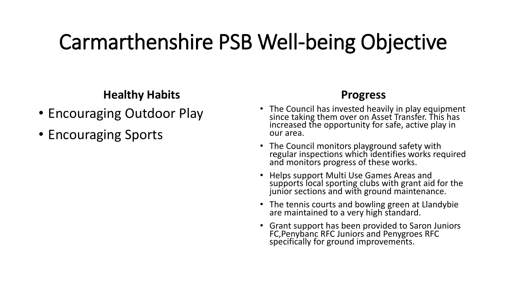#### **Healthy Habits**

- Encouraging Outdoor Play
- Encouraging Sports

- The Council has invested heavily in play equipment since taking them over on Asset Transfer. This has increased the opportunity for safe, active play in our area.
- The Council monitors playground safety with regular inspections which identifies works required and monitors progress of these works.
- Helps support Multi Use Games Areas and supports local sporting clubs with grant aid for the junior sections and with ground maintenance.
- The tennis courts and bowling green at Llandybie are maintained to a very high standard.
- Grant support has been provided to Saron Juniors FC,Penybanc RFC Juniors and Penygroes RFC specifically for ground improvements.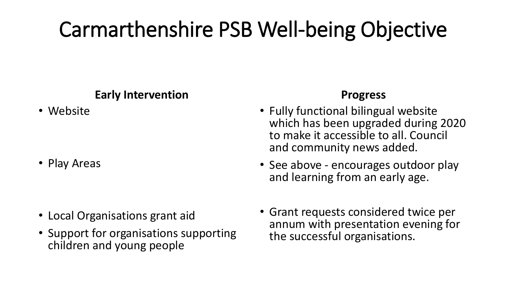#### **Early Intervention**

• Website

- Play Areas
- 
- Local Organisations grant aid
- Support for organisations supporting children and young people

- Fully functional bilingual website which has been upgraded during 2020 to make it accessible to all. Council and community news added.
- See above encourages outdoor play and learning from an early age.
- Grant requests considered twice per annum with presentation evening for the successful organisations.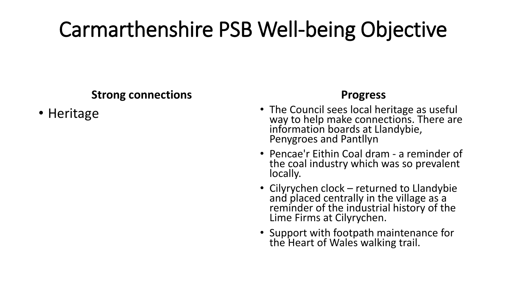#### **Strong connections**

• Heritage

- The Council sees local heritage as useful way to help make connections. There are information boards at Llandybie, Penygroes and Pantllyn
- Pencae'r Eithin Coal dram a reminder of the coal industry which was so prevalent locally.
- Cilyrychen clock returned to Llandybie and placed centrally in the village as a reminder of the industrial history of the Lime Firms at Cilyrychen.
- Support with footpath maintenance for the Heart of Wales walking trail.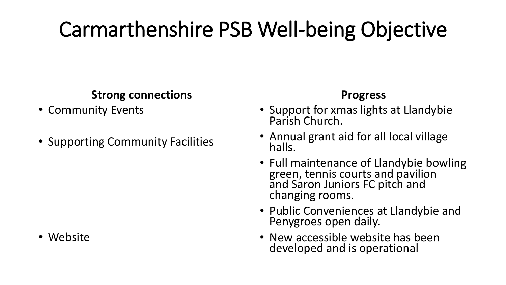#### **Strong connections**

- Community Events
- Supporting Community Facilities

#### • Website

- Support for xmas lights at Llandybie Parish Church.
- Annual grant aid for all local village halls.
- Full maintenance of Llandybie bowling green, tennis courts and pavilion and Saron Juniors FC pitch and changing rooms.
- Public Conveniences at Llandybie and Penygroes open daily.
- New accessible website has been developed and is operational